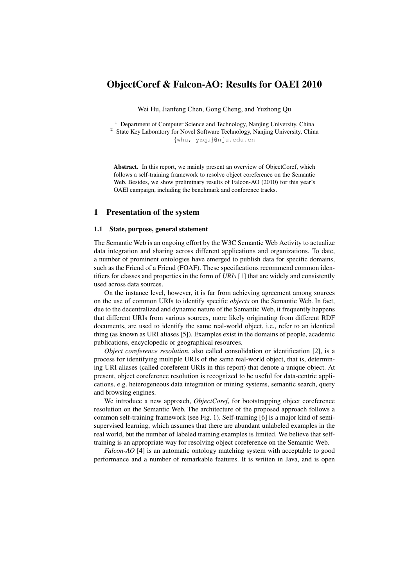# ObjectCoref & Falcon-AO: Results for OAEI 2010

Wei Hu, Jianfeng Chen, Gong Cheng, and Yuzhong Qu

<sup>1</sup> Department of Computer Science and Technology, Nanjing University, China <sup>2</sup> State Key Laboratory for Novel Software Technology, Nanjing University, China *{*whu, yzqu*}*@nju.edu.cn

Abstract. In this report, we mainly present an overview of ObjectCoref, which follows a self-training framework to resolve object coreference on the Semantic Web. Besides, we show preliminary results of Falcon-AO (2010) for this year's OAEI campaign, including the benchmark and conference tracks.

### 1 Presentation of the system

#### 1.1 State, purpose, general statement

The Semantic Web is an ongoing effort by the W3C Semantic Web Activity to actualize data integration and sharing across different applications and organizations. To date, a number of prominent ontologies have emerged to publish data for specific domains, such as the Friend of a Friend (FOAF). These specifications recommend common identifiers for classes and properties in the form of *URIs* [1] that are widely and consistently used across data sources.

On the instance level, however, it is far from achieving agreement among sources on the use of common URIs to identify specific *objects* on the Semantic Web. In fact, due to the decentralized and dynamic nature of the Semantic Web, it frequently happens that different URIs from various sources, more likely originating from different RDF documents, are used to identify the same real-world object, i.e., refer to an identical thing (as known as URI aliases [5]). Examples exist in the domains of people, academic publications, encyclopedic or geographical resources.

*Object coreference resolution*, also called consolidation or identification [2], is a process for identifying multiple URIs of the same real-world object, that is, determining URI aliases (called coreferent URIs in this report) that denote a unique object. At present, object coreference resolution is recognized to be useful for data-centric applications, e.g. heterogeneous data integration or mining systems, semantic search, query and browsing engines.

We introduce a new approach, *ObjectCoref*, for bootstrapping object coreference resolution on the Semantic Web. The architecture of the proposed approach follows a common self-training framework (see Fig. 1). Self-training [6] is a major kind of semisupervised learning, which assumes that there are abundant unlabeled examples in the real world, but the number of labeled training examples is limited. We believe that selftraining is an appropriate way for resolving object coreference on the Semantic Web.

*Falcon-AO* [4] is an automatic ontology matching system with acceptable to good performance and a number of remarkable features. It is written in Java, and is open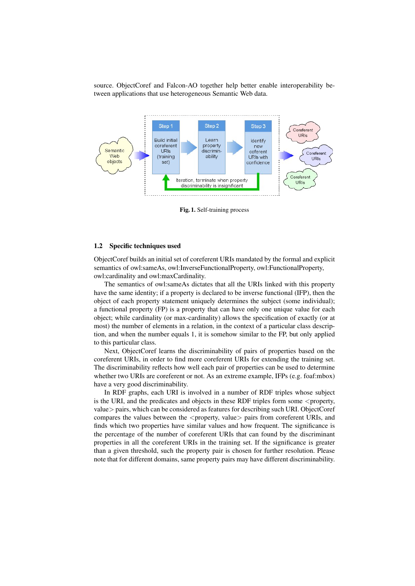source. ObjectCoref and Falcon-AO together help better enable interoperability between applications that use heterogeneous Semantic Web data.



Fig. 1. Self-training process

#### 1.2 Specific techniques used

ObjectCoref builds an initial set of coreferent URIs mandated by the formal and explicit semantics of owl:sameAs, owl:InverseFunctionalProperty, owl:FunctionalProperty, owl:cardinality and owl:maxCardinality.

The semantics of owl:sameAs dictates that all the URIs linked with this property have the same identity; if a property is declared to be inverse functional (IFP), then the object of each property statement uniquely determines the subject (some individual); a functional property (FP) is a property that can have only one unique value for each object; while cardinality (or max-cardinality) allows the specification of exactly (or at most) the number of elements in a relation, in the context of a particular class description, and when the number equals 1, it is somehow similar to the FP, but only applied to this particular class.

Next, ObjectCoref learns the discriminability of pairs of properties based on the coreferent URIs, in order to find more coreferent URIs for extending the training set. The discriminability reflects how well each pair of properties can be used to determine whether two URIs are coreferent or not. As an extreme example, IFPs (e.g. foaf:mbox) have a very good discriminability.

In RDF graphs, each URI is involved in a number of RDF triples whose subject is the URI, and the predicates and objects in these RDF triples form some *<*property, value*>* pairs, which can be considered as features for describing such URI. ObjectCoref compares the values between the *<*property, value*>* pairs from coreferent URIs, and finds which two properties have similar values and how frequent. The significance is the percentage of the number of coreferent URIs that can found by the discriminant properties in all the coreferent URIs in the training set. If the significance is greater than a given threshold, such the property pair is chosen for further resolution. Please note that for different domains, same property pairs may have different discriminability.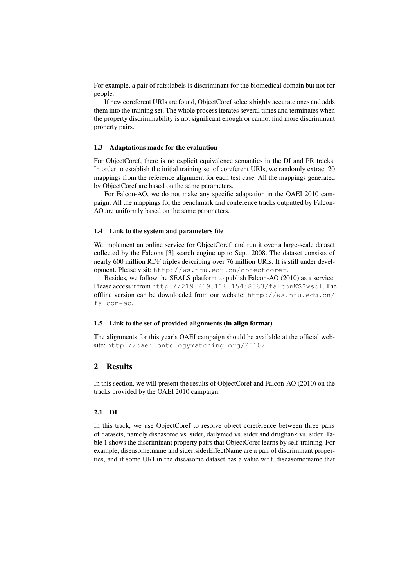For example, a pair of rdfs:labels is discriminant for the biomedical domain but not for people.

If new coreferent URIs are found, ObjectCoref selects highly accurate ones and adds them into the training set. The whole process iterates several times and terminates when the property discriminability is not significant enough or cannot find more discriminant property pairs.

#### 1.3 Adaptations made for the evaluation

For ObjectCoref, there is no explicit equivalence semantics in the DI and PR tracks. In order to establish the initial training set of coreferent URIs, we randomly extract 20 mappings from the reference alignment for each test case. All the mappings generated by ObjectCoref are based on the same parameters.

For Falcon-AO, we do not make any specific adaptation in the OAEI 2010 campaign. All the mappings for the benchmark and conference tracks outputted by Falcon-AO are uniformly based on the same parameters.

#### 1.4 Link to the system and parameters file

We implement an online service for ObjectCoref, and run it over a large-scale dataset collected by the Falcons [3] search engine up to Sept. 2008. The dataset consists of nearly 600 million RDF triples describing over 76 million URIs. It is still under development. Please visit: http://ws.nju.edu.cn/objectcoref.

Besides, we follow the SEALS platform to publish Falcon-AO (2010) as a service. Please access it from http://219.219.116.154:8083/falconWS?wsdl. The offline version can be downloaded from our website: http://ws.nju.edu.cn/ falcon-ao.

#### 1.5 Link to the set of provided alignments (in align format)

The alignments for this year's OAEI campaign should be available at the official website: http://oaei.ontologymatching.org/2010/.

#### 2 Results

In this section, we will present the results of ObjectCoref and Falcon-AO (2010) on the tracks provided by the OAEI 2010 campaign.

#### 2.1 DI

In this track, we use ObjectCoref to resolve object coreference between three pairs of datasets, namely diseasome vs. sider, dailymed vs. sider and drugbank vs. sider. Table 1 shows the discriminant property pairs that ObjectCoref learns by self-training. For example, diseasome:name and sider:siderEffectName are a pair of discriminant properties, and if some URI in the diseasome dataset has a value w.r.t. diseasome:name that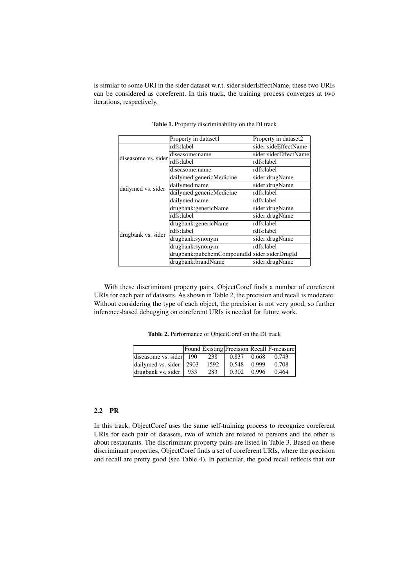is similar to some URI in the sider dataset w.r.t. sider:siderEffectName, these two URIs can be considered as coreferent. In this track, the training process converges at two iterations, respectively.

|                     | Property in dataset1                         | Property in dataset2  |  |  |
|---------------------|----------------------------------------------|-----------------------|--|--|
| diseasome vs. sider | rdfs:label                                   | sider:sideEffectName  |  |  |
|                     | diseasome:name                               | sider:siderEffectName |  |  |
|                     | rdfs:label                                   | rdfs:label            |  |  |
|                     | diseasome:name                               | rdfs:label            |  |  |
|                     | dailymed:genericMedicine                     | sider:drugName        |  |  |
| dailymed vs. sider  | dailymed:name                                | sider:drugName        |  |  |
|                     | dailymed:genericMedicine                     | rdfs:label            |  |  |
|                     | dailymed:name                                | rdfs:label            |  |  |
|                     | drugbank: genericName                        | sider:drugName        |  |  |
|                     | rdfs:label                                   | sider:drugName        |  |  |
|                     | drugbank: genericName                        | rdfs:label            |  |  |
| drugbank vs. sider  | rdfs:label                                   | rdfs:label            |  |  |
|                     | drugbank:synonym                             | sider:drugName        |  |  |
|                     | drugbank:synonym                             | rdfs:label            |  |  |
|                     | drugbank:pubchemCompoundId sider:siderDrugId |                       |  |  |
|                     | drugbank:brandName                           | sider:drugName        |  |  |

Table 1. Property discriminability on the DI track

With these discriminant property pairs, ObjectCoref finds a number of coreferent URIs for each pair of datasets. As shown in Table 2, the precision and recall is moderate. Without considering the type of each object, the precision is not very good, so further inference-based debugging on coreferent URIs is needed for future work.

Table 2. Performance of ObjectCoref on the DI track

|                            |      |               | Found Existing Precision Recall F-measure |
|----------------------------|------|---------------|-------------------------------------------|
| diseasome vs. sider   190  | 238  | 0.837 0.668   | 0.743                                     |
| dailymed vs. sider   2903  | 1592 | 0.548 0.999   | 0.708                                     |
| drugbank vs. sider   $933$ | 283  | $0.302$ 0.996 | 0.464                                     |

## 2.2 PR

In this track, ObjectCoref uses the same self-training process to recognize coreferent URIs for each pair of datasets, two of which are related to persons and the other is about restaurants. The discriminant property pairs are listed in Table 3. Based on these discriminant properties, ObjectCoref finds a set of coreferent URIs, where the precision and recall are pretty good (see Table 4). In particular, the good recall reflects that our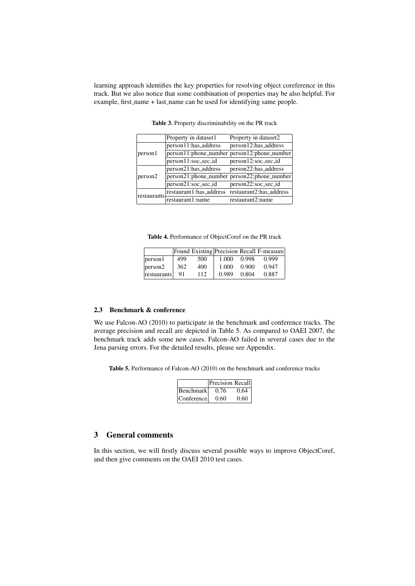learning approach identifies the key properties for resolving object coreference in this track. But we also notice that some combination of properties may be also helpful. For example, first name + last name can be used for identifying same people.

|             | Property in dataset1    | Property in dataset2                        |
|-------------|-------------------------|---------------------------------------------|
|             | person11:has_address    | person12:has_address                        |
| person1     |                         | person11:phone_number person12:phone_number |
|             | person11:soc_sec_id     | person12:soc_sec_id                         |
| person2     | person21:has_address    | person22:has_address                        |
|             |                         | person21:phone_number person22:phone_number |
|             | person21:soc_sec_id     | person22:soc_sec_id                         |
| restaurants | restaurant1:has_address | restaurant2:has_address                     |
|             | restaurant1:name        | restaurant2:name                            |

Table 3. Property discriminability on the PR track

Table 4. Performance of ObjectCoref on the PR track

|                                 |     |     |       |       | [Found Existing Precision Recall F-measure] |
|---------------------------------|-----|-----|-------|-------|---------------------------------------------|
| person1                         | 499 | 500 | 1.000 | 0.998 | 0.999                                       |
| $\left  \text{person2} \right $ | 362 | 400 | 1.000 | 0.900 | 0.947                                       |
| restaurants                     | -91 | 112 | 0.989 | 0.804 | 0.887                                       |

## 2.3 Benchmark & conference

We use Falcon-AO (2010) to participate in the benchmark and conference tracks. The average precision and recall are depicted in Table 5. As compared to OAEI 2007, the benchmark track adds some new cases. Falcon-AO failed in several cases due to the Jena parsing errors. For the detailed results, please see Appendix.

Table 5. Performance of Falcon-AO (2010) on the benchmark and conference tracks

|            | Precision Recall |      |
|------------|------------------|------|
| Benchmark  | 0.76             | 0.64 |
| Conference | 0.60             | 0.60 |

# 3 General comments

In this section, we will firstly discuss several possible ways to improve ObjectCoref, and then give comments on the OAEI 2010 test cases.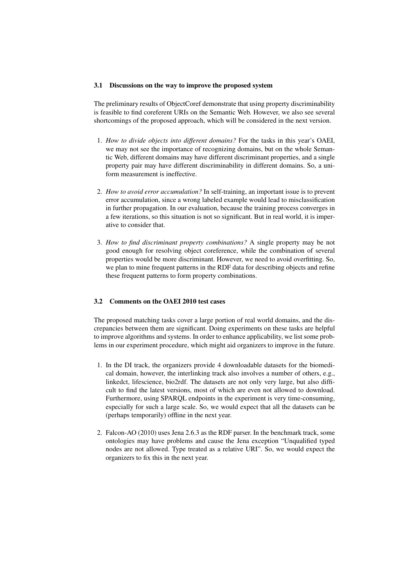#### 3.1 Discussions on the way to improve the proposed system

The preliminary results of ObjectCoref demonstrate that using property discriminability is feasible to find coreferent URIs on the Semantic Web. However, we also see several shortcomings of the proposed approach, which will be considered in the next version.

- 1. *How to divide objects into different domains?* For the tasks in this year's OAEI, we may not see the importance of recognizing domains, but on the whole Semantic Web, different domains may have different discriminant properties, and a single property pair may have different discriminability in different domains. So, a uniform measurement is ineffective.
- 2. *How to avoid error accumulation?* In self-training, an important issue is to prevent error accumulation, since a wrong labeled example would lead to misclassification in further propagation. In our evaluation, because the training process converges in a few iterations, so this situation is not so significant. But in real world, it is imperative to consider that.
- 3. *How to find discriminant property combinations?* A single property may be not good enough for resolving object coreference, while the combination of several properties would be more discriminant. However, we need to avoid overfitting. So, we plan to mine frequent patterns in the RDF data for describing objects and refine these frequent patterns to form property combinations.

### 3.2 Comments on the OAEI 2010 test cases

The proposed matching tasks cover a large portion of real world domains, and the discrepancies between them are significant. Doing experiments on these tasks are helpful to improve algorithms and systems. In order to enhance applicability, we list some problems in our experiment procedure, which might aid organizers to improve in the future.

- 1. In the DI track, the organizers provide 4 downloadable datasets for the biomedical domain, however, the interlinking track also involves a number of others, e.g., linkedct, lifescience, bio2rdf. The datasets are not only very large, but also difficult to find the latest versions, most of which are even not allowed to download. Furthermore, using SPARQL endpoints in the experiment is very time-consuming, especially for such a large scale. So, we would expect that all the datasets can be (perhaps temporarily) offline in the next year.
- 2. Falcon-AO (2010) uses Jena 2.6.3 as the RDF parser. In the benchmark track, some ontologies may have problems and cause the Jena exception "Unqualified typed nodes are not allowed. Type treated as a relative URI". So, we would expect the organizers to fix this in the next year.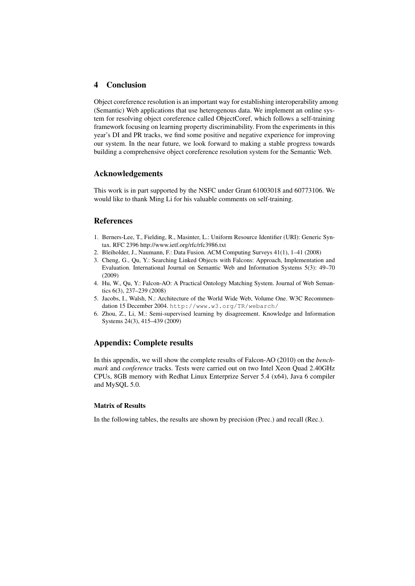# 4 Conclusion

Object coreference resolution is an important way for establishing interoperability among (Semantic) Web applications that use heterogenous data. We implement an online system for resolving object coreference called ObjectCoref, which follows a self-training framework focusing on learning property discriminability. From the experiments in this year's DI and PR tracks, we find some positive and negative experience for improving our system. In the near future, we look forward to making a stable progress towards building a comprehensive object coreference resolution system for the Semantic Web.

### Acknowledgements

This work is in part supported by the NSFC under Grant 61003018 and 60773106. We would like to thank Ming Li for his valuable comments on self-training.

### References

- 1. Berners-Lee, T., Fielding, R., Masinter, L.: Uniform Resource Identifier (URI): Generic Syntax. RFC 2396 http://www.ietf.org/rfc/rfc3986.txt
- 2. Bleiholder, J., Naumann, F.: Data Fusion. ACM Computing Surveys 41(1), 1–41 (2008)
- 3. Cheng, G., Qu, Y.: Searching Linked Objects with Falcons: Approach, Implementation and Evaluation. International Journal on Semantic Web and Information Systems 5(3): 49–70 (2009)
- 4. Hu, W., Qu, Y.: Falcon-AO: A Practical Ontology Matching System. Journal of Web Semantics 6(3), 237–239 (2008)
- 5. Jacobs, I., Walsh, N.: Architecture of the World Wide Web, Volume One. W3C Recommendation 15 December 2004. http://www.w3.org/TR/webarch/
- 6. Zhou, Z., Li, M.: Semi-supervised learning by disagreement. Knowledge and Information Systems 24(3), 415–439 (2009)

### Appendix: Complete results

In this appendix, we will show the complete results of Falcon-AO (2010) on the *benchmark* and *conference* tracks. Tests were carried out on two Intel Xeon Quad 2.40GHz CPUs, 8GB memory with Redhat Linux Enterprize Server 5.4 (x64), Java 6 compiler and MySQL 5.0.

#### Matrix of Results

In the following tables, the results are shown by precision (Prec.) and recall (Rec.).